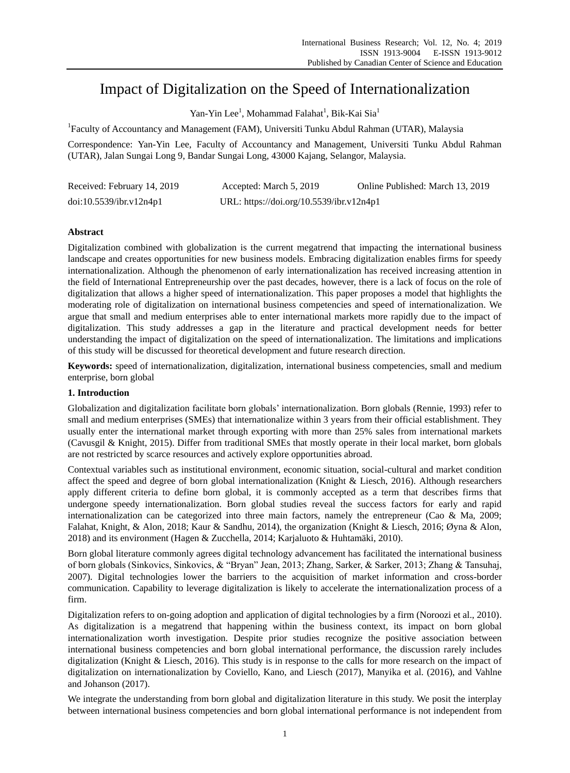# Impact of Digitalization on the Speed of Internationalization

Yan-Yin Lee<sup>1</sup>, Mohammad Falahat<sup>1</sup>, Bik-Kai Sia<sup>1</sup>

<sup>1</sup> Faculty of Accountancy and Management (FAM), Universiti Tunku Abdul Rahman (UTAR), Malaysia

Correspondence: Yan-Yin Lee, Faculty of Accountancy and Management, Universiti Tunku Abdul Rahman (UTAR), Jalan Sungai Long 9, Bandar Sungai Long, 43000 Kajang, Selangor, Malaysia.

| Received: February 14, 2019 | Accepted: March 5, 2019                  | Online Published: March 13, 2019 |
|-----------------------------|------------------------------------------|----------------------------------|
| doi:10.5539/ibr.v12n4p1     | URL: https://doi.org/10.5539/ibr.v12n4p1 |                                  |

# **Abstract**

Digitalization combined with globalization is the current megatrend that impacting the international business landscape and creates opportunities for new business models. Embracing digitalization enables firms for speedy internationalization. Although the phenomenon of early internationalization has received increasing attention in the field of International Entrepreneurship over the past decades, however, there is a lack of focus on the role of digitalization that allows a higher speed of internationalization. This paper proposes a model that highlights the moderating role of digitalization on international business competencies and speed of internationalization. We argue that small and medium enterprises able to enter international markets more rapidly due to the impact of digitalization. This study addresses a gap in the literature and practical development needs for better understanding the impact of digitalization on the speed of internationalization. The limitations and implications of this study will be discussed for theoretical development and future research direction.

**Keywords:** speed of internationalization, digitalization, international business competencies, small and medium enterprise, born global

# **1. Introduction**

Globalization and digitalization facilitate born globals' internationalization. Born globals (Rennie, 1993) refer to small and medium enterprises (SMEs) that internationalize within 3 years from their official establishment. They usually enter the international market through exporting with more than 25% sales from international markets (Cavusgil & Knight, 2015). Differ from traditional SMEs that mostly operate in their local market, born globals are not restricted by scarce resources and actively explore opportunities abroad.

Contextual variables such as institutional environment, economic situation, social-cultural and market condition affect the speed and degree of born global internationalization (Knight & Liesch, 2016). Although researchers apply different criteria to define born global, it is commonly accepted as a term that describes firms that undergone speedy internationalization. Born global studies reveal the success factors for early and rapid internationalization can be categorized into three main factors, namely the entrepreneur (Cao & Ma, 2009; Falahat, Knight, & Alon, 2018; Kaur & Sandhu, 2014), the organization (Knight & Liesch, 2016; Øyna & Alon, 2018) and its environment (Hagen & Zucchella, 2014; Karjaluoto & Huhtamäki, 2010).

Born global literature commonly agrees digital technology advancement has facilitated the international business of born globals (Sinkovics, Sinkovics, & "Bryan" Jean, 2013; Zhang, Sarker, & Sarker, 2013; Zhang & Tansuhaj, 2007). Digital technologies lower the barriers to the acquisition of market information and cross-border communication. Capability to leverage digitalization is likely to accelerate the internationalization process of a firm.

Digitalization refers to on-going adoption and application of digital technologies by a firm (Noroozi et al., 2010). As digitalization is a megatrend that happening within the business context, its impact on born global internationalization worth investigation. Despite prior studies recognize the positive association between international business competencies and born global international performance, the discussion rarely includes digitalization (Knight & Liesch, 2016). This study is in response to the calls for more research on the impact of digitalization on internationalization by Coviello, Kano, and Liesch (2017), Manyika et al. (2016), and Vahlne and Johanson (2017).

We integrate the understanding from born global and digitalization literature in this study. We posit the interplay between international business competencies and born global international performance is not independent from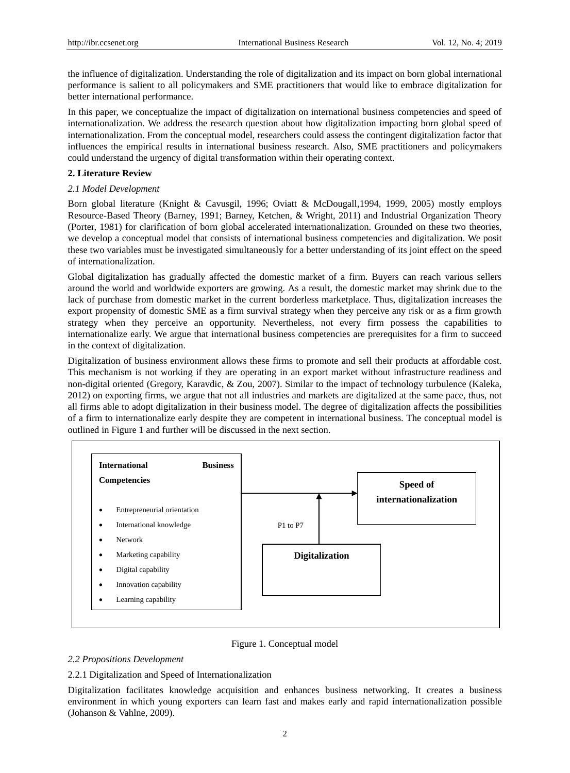the influence of digitalization. Understanding the role of digitalization and its impact on born global international performance is salient to all policymakers and SME practitioners that would like to embrace digitalization for better international performance.

In this paper, we conceptualize the impact of digitalization on international business competencies and speed of internationalization. We address the research question about how digitalization impacting born global speed of internationalization. From the conceptual model, researchers could assess the contingent digitalization factor that influences the empirical results in international business research. Also, SME practitioners and policymakers could understand the urgency of digital transformation within their operating context.

# **2. Literature Review**

# *2.1 Model Development*

Born global literature (Knight & Cavusgil, 1996; Oviatt & McDougall,1994, 1999, 2005) mostly employs Resource-Based Theory (Barney, 1991; Barney, Ketchen, & Wright, 2011) and Industrial Organization Theory (Porter, 1981) for clarification of born global accelerated internationalization. Grounded on these two theories, we develop a conceptual model that consists of international business competencies and digitalization. We posit these two variables must be investigated simultaneously for a better understanding of its joint effect on the speed of internationalization.

Global digitalization has gradually affected the domestic market of a firm. Buyers can reach various sellers around the world and worldwide exporters are growing. As a result, the domestic market may shrink due to the lack of purchase from domestic market in the current borderless marketplace. Thus, digitalization increases the export propensity of domestic SME as a firm survival strategy when they perceive any risk or as a firm growth strategy when they perceive an opportunity. Nevertheless, not every firm possess the capabilities to internationalize early. We argue that international business competencies are prerequisites for a firm to succeed in the context of digitalization.

Digitalization of business environment allows these firms to promote and sell their products at affordable cost. This mechanism is not working if they are operating in an export market without infrastructure readiness and non-digital oriented (Gregory, Karavdic, & Zou, 2007). Similar to the impact of technology turbulence (Kaleka, 2012) on exporting firms, we argue that not all industries and markets are digitalized at the same pace, thus, not all firms able to adopt digitalization in their business model. The degree of digitalization affects the possibilities of a firm to internationalize early despite they are competent in international business. The conceptual model is outlined in Figure 1 and further will be discussed in the next section.



Figure 1. Conceptual model

# *2.2 Propositions Development*

# 2.2.1 Digitalization and Speed of Internationalization

Digitalization facilitates knowledge acquisition and enhances business networking. It creates a business environment in which young exporters can learn fast and makes early and rapid internationalization possible (Johanson & Vahlne, 2009).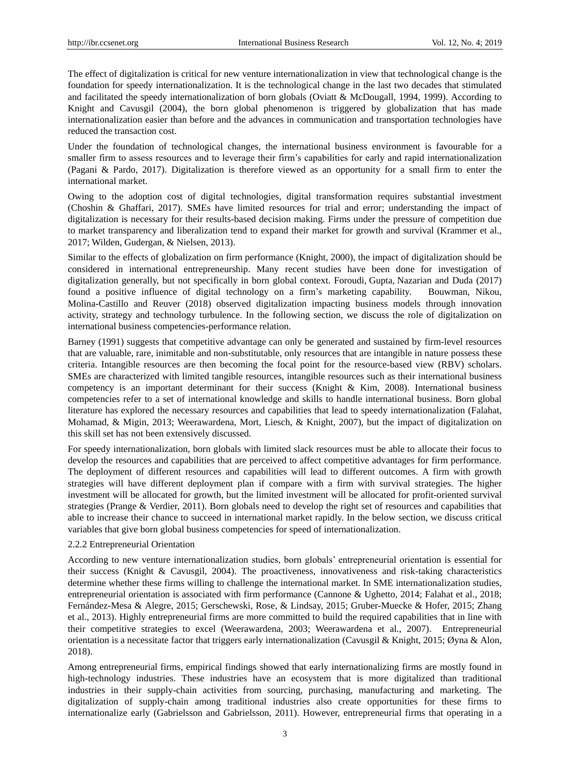The effect of digitalization is critical for new venture internationalization in view that technological change is the foundation for speedy internationalization. It is the technological change in the last two decades that stimulated and facilitated the speedy internationalization of born globals (Oviatt & McDougall, 1994, 1999). According to Knight and Cavusgil (2004), the born global phenomenon is triggered by globalization that has made internationalization easier than before and the advances in communication and transportation technologies have reduced the transaction cost.

Under the foundation of technological changes, the international business environment is favourable for a smaller firm to assess resources and to leverage their firm's capabilities for early and rapid internationalization (Pagani & Pardo, 2017). Digitalization is therefore viewed as an opportunity for a small firm to enter the international market.

Owing to the adoption cost of digital technologies, digital transformation requires substantial investment (Choshin & Ghaffari, 2017). SMEs have limited resources for trial and error; understanding the impact of digitalization is necessary for their results-based decision making. Firms under the pressure of competition due to market transparency and liberalization tend to expand their market for growth and survival (Krammer et al., 2017; Wilden, Gudergan, & Nielsen, 2013).

Similar to the effects of globalization on firm performance (Knight, 2000), the impact of digitalization should be considered in international entrepreneurship. Many recent studies have been done for investigation of digitalization generally, but not specifically in born global context. Foroudi, Gupta, Nazarian and Duda (2017) found a positive influence of digital technology on a firm's marketing capability. Bouwman, Nikou, Molina-Castillo and Reuver (2018) observed digitalization impacting business models through innovation activity, strategy and technology turbulence. In the following section, we discuss the role of digitalization on international business competencies-performance relation.

Barney (1991) suggests that competitive advantage can only be generated and sustained by firm-level resources that are valuable, rare, inimitable and non-substitutable, only resources that are intangible in nature possess these criteria. Intangible resources are then becoming the focal point for the resource-based view (RBV) scholars. SMEs are characterized with limited tangible resources, intangible resources such as their international business competency is an important determinant for their success (Knight & Kim, 2008). International business competencies refer to a set of international knowledge and skills to handle international business. Born global literature has explored the necessary resources and capabilities that lead to speedy internationalization (Falahat, Mohamad, & Migin, 2013; Weerawardena, Mort, Liesch, & Knight, 2007), but the impact of digitalization on this skill set has not been extensively discussed.

For speedy internationalization, born globals with limited slack resources must be able to allocate their focus to develop the resources and capabilities that are perceived to affect competitive advantages for firm performance. The deployment of different resources and capabilities will lead to different outcomes. A firm with growth strategies will have different deployment plan if compare with a firm with survival strategies. The higher investment will be allocated for growth, but the limited investment will be allocated for profit-oriented survival strategies (Prange & Verdier, 2011). Born globals need to develop the right set of resources and capabilities that able to increase their chance to succeed in international market rapidly. In the below section, we discuss critical variables that give born global business competencies for speed of internationalization.

# 2.2.2 Entrepreneurial Orientation

According to new venture internationalization studies, born globals' entrepreneurial orientation is essential for their success (Knight & Cavusgil, 2004). The proactiveness, innovativeness and risk-taking characteristics determine whether these firms willing to challenge the international market. In SME internationalization studies, entrepreneurial orientation is associated with firm performance (Cannone & Ughetto, 2014; Falahat et al., 2018; Fernández-Mesa & Alegre, 2015; Gerschewski, Rose, & Lindsay, 2015; Gruber-Muecke & Hofer, 2015; Zhang et al., 2013). Highly entrepreneurial firms are more committed to build the required capabilities that in line with their competitive strategies to excel (Weerawardena, 2003; Weerawardena et al., 2007). Entrepreneurial orientation is a necessitate factor that triggers early internationalization (Cavusgil & Knight, 2015; Øyna & Alon, 2018).

Among entrepreneurial firms, empirical findings showed that early internationalizing firms are mostly found in high-technology industries. These industries have an ecosystem that is more digitalized than traditional industries in their supply-chain activities from sourcing, purchasing, manufacturing and marketing. The digitalization of supply-chain among traditional industries also create opportunities for these firms to internationalize early (Gabrielsson and Gabrielsson, 2011). However, entrepreneurial firms that operating in a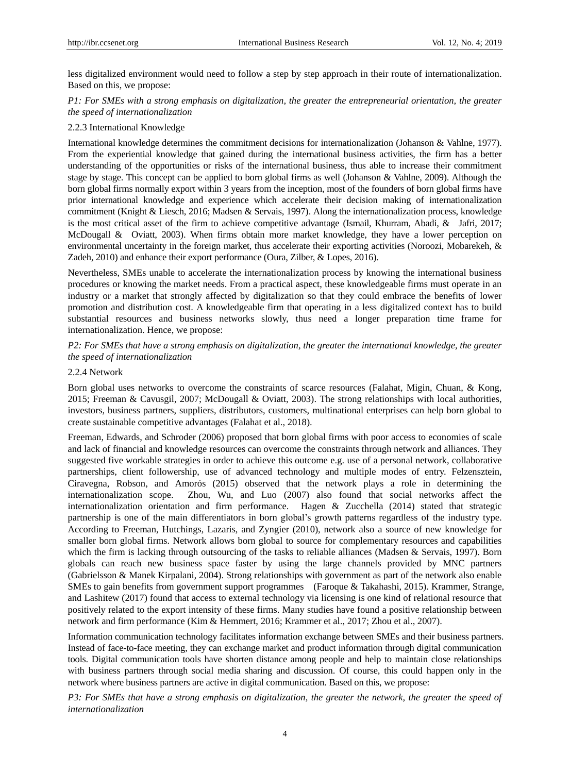less digitalized environment would need to follow a step by step approach in their route of internationalization. Based on this, we propose:

# *P1: For SMEs with a strong emphasis on digitalization, the greater the entrepreneurial orientation, the greater the speed of internationalization*

#### 2.2.3 International Knowledge

International knowledge determines the commitment decisions for internationalization (Johanson & Vahlne, 1977). From the experiential knowledge that gained during the international business activities, the firm has a better understanding of the opportunities or risks of the international business, thus able to increase their commitment stage by stage. This concept can be applied to born global firms as well (Johanson & Vahlne, 2009). Although the born global firms normally export within 3 years from the inception, most of the founders of born global firms have prior international knowledge and experience which accelerate their decision making of internationalization commitment (Knight & Liesch, 2016; Madsen & Servais, 1997). Along the internationalization process, knowledge is the most critical asset of the firm to achieve competitive advantage (Ismail, Khurram, Abadi, & Jafri, 2017; McDougall & Oviatt, 2003). When firms obtain more market knowledge, they have a lower perception on environmental uncertainty in the foreign market, thus accelerate their exporting activities (Noroozi, Mobarekeh, & Zadeh, 2010) and enhance their export performance (Oura, Zilber, & Lopes, 2016).

Nevertheless, SMEs unable to accelerate the internationalization process by knowing the international business procedures or knowing the market needs. From a practical aspect, these knowledgeable firms must operate in an industry or a market that strongly affected by digitalization so that they could embrace the benefits of lower promotion and distribution cost. A knowledgeable firm that operating in a less digitalized context has to build substantial resources and business networks slowly, thus need a longer preparation time frame for internationalization. Hence, we propose:

*P2: For SMEs that have a strong emphasis on digitalization, the greater the international knowledge, the greater the speed of internationalization* 

#### 2.2.4 Network

Born global uses networks to overcome the constraints of scarce resources (Falahat, Migin, Chuan, & Kong, 2015; Freeman & Cavusgil, 2007; McDougall & Oviatt, 2003). The strong relationships with local authorities, investors, business partners, suppliers, distributors, customers, multinational enterprises can help born global to create sustainable competitive advantages (Falahat et al., 2018).

Freeman, Edwards, and Schroder (2006) proposed that born global firms with poor access to economies of scale and lack of financial and knowledge resources can overcome the constraints through network and alliances. They suggested five workable strategies in order to achieve this outcome e.g. use of a personal network, collaborative partnerships, client followership, use of advanced technology and multiple modes of entry. Felzensztein, Ciravegna, Robson, and Amorós (2015) observed that the network plays a role in determining the internationalization scope. Zhou, Wu, and Luo (2007) also found that social networks affect the internationalization orientation and firm performance. Hagen & Zucchella (2014) stated that strategic partnership is one of the main differentiators in born global's growth patterns regardless of the industry type. According to Freeman, Hutchings, Lazaris, and Zyngier (2010), network also a source of new knowledge for smaller born global firms. Network allows born global to source for complementary resources and capabilities which the firm is lacking through outsourcing of the tasks to reliable alliances (Madsen & Servais, 1997). Born globals can reach new business space faster by using the large channels provided by MNC partners (Gabrielsson & Manek Kirpalani, 2004). Strong relationships with government as part of the network also enable SMEs to gain benefits from government support programmes (Faroque & Takahashi, 2015). Krammer, Strange, and Lashitew (2017) found that access to external technology via licensing is one kind of relational resource that positively related to the export intensity of these firms. Many studies have found a positive relationship between network and firm performance (Kim & Hemmert, 2016; Krammer et al., 2017; Zhou et al., 2007).

Information communication technology facilitates information exchange between SMEs and their business partners. Instead of face-to-face meeting, they can exchange market and product information through digital communication tools. Digital communication tools have shorten distance among people and help to maintain close relationships with business partners through social media sharing and discussion. Of course, this could happen only in the network where business partners are active in digital communication. Based on this, we propose:

*P3: For SMEs that have a strong emphasis on digitalization, the greater the network, the greater the speed of internationalization*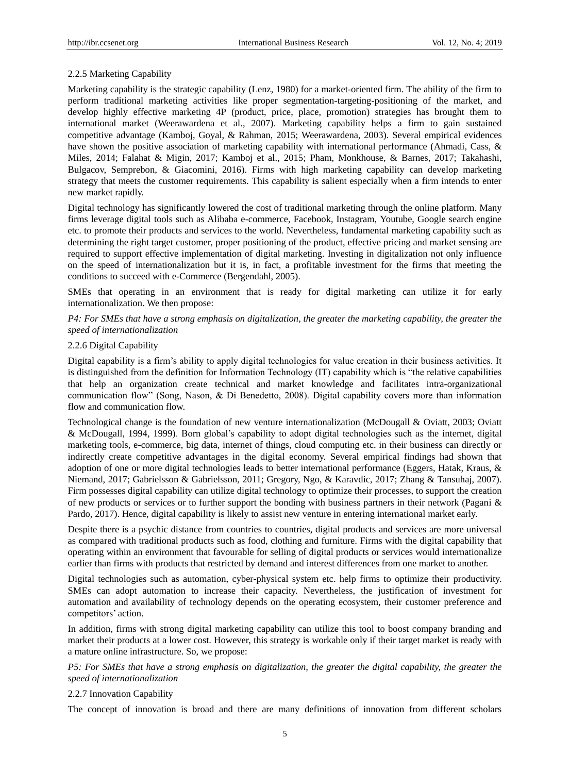#### 2.2.5 Marketing Capability

Marketing capability is the strategic capability (Lenz, 1980) for a market-oriented firm. The ability of the firm to perform traditional marketing activities like proper segmentation-targeting-positioning of the market, and develop highly effective marketing 4P (product, price, place, promotion) strategies has brought them to international market (Weerawardena et al., 2007). Marketing capability helps a firm to gain sustained competitive advantage (Kamboj, Goyal, & Rahman, 2015; Weerawardena, 2003). Several empirical evidences have shown the positive association of marketing capability with international performance (Ahmadi, Cass, & Miles, 2014; Falahat & Migin, 2017; Kamboj et al., 2015; Pham, Monkhouse, & Barnes, 2017; Takahashi, Bulgacov, Semprebon, & Giacomini, 2016). Firms with high marketing capability can develop marketing strategy that meets the customer requirements. This capability is salient especially when a firm intends to enter new market rapidly.

Digital technology has significantly lowered the cost of traditional marketing through the online platform. Many firms leverage digital tools such as Alibaba e-commerce, Facebook, Instagram, Youtube, Google search engine etc. to promote their products and services to the world. Nevertheless, fundamental marketing capability such as determining the right target customer, proper positioning of the product, effective pricing and market sensing are required to support effective implementation of digital marketing. Investing in digitalization not only influence on the speed of internationalization but it is, in fact, a profitable investment for the firms that meeting the conditions to succeed with e-Commerce (Bergendahl, 2005).

SMEs that operating in an environment that is ready for digital marketing can utilize it for early internationalization. We then propose:

*P4: For SMEs that have a strong emphasis on digitalization, the greater the marketing capability, the greater the speed of internationalization* 

#### 2.2.6 Digital Capability

Digital capability is a firm's ability to apply digital technologies for value creation in their business activities. It is distinguished from the definition for Information Technology (IT) capability which is "the relative capabilities that help an organization create technical and market knowledge and facilitates intra-organizational communication flow" (Song, Nason, & Di Benedetto, 2008). Digital capability covers more than information flow and communication flow.

Technological change is the foundation of new venture internationalization (McDougall & Oviatt, 2003; Oviatt & McDougall, 1994, 1999). Born global's capability to adopt digital technologies such as the internet, digital marketing tools, e-commerce, big data, internet of things, cloud computing etc. in their business can directly or indirectly create competitive advantages in the digital economy. Several empirical findings had shown that adoption of one or more digital technologies leads to better international performance (Eggers, Hatak, Kraus, & Niemand, 2017; Gabrielsson & Gabrielsson, 2011; Gregory, Ngo, & Karavdic, 2017; Zhang & Tansuhaj, 2007). Firm possesses digital capability can utilize digital technology to optimize their processes, to support the creation of new products or services or to further support the bonding with business partners in their network (Pagani & Pardo, 2017). Hence, digital capability is likely to assist new venture in entering international market early.

Despite there is a psychic distance from countries to countries, digital products and services are more universal as compared with traditional products such as food, clothing and furniture. Firms with the digital capability that operating within an environment that favourable for selling of digital products or services would internationalize earlier than firms with products that restricted by demand and interest differences from one market to another.

Digital technologies such as automation, cyber-physical system etc. help firms to optimize their productivity. SMEs can adopt automation to increase their capacity. Nevertheless, the justification of investment for automation and availability of technology depends on the operating ecosystem, their customer preference and competitors' action.

In addition, firms with strong digital marketing capability can utilize this tool to boost company branding and market their products at a lower cost. However, this strategy is workable only if their target market is ready with a mature online infrastructure. So, we propose:

*P5: For SMEs that have a strong emphasis on digitalization, the greater the digital capability, the greater the speed of internationalization* 

#### 2.2.7 Innovation Capability

The concept of innovation is broad and there are many definitions of innovation from different scholars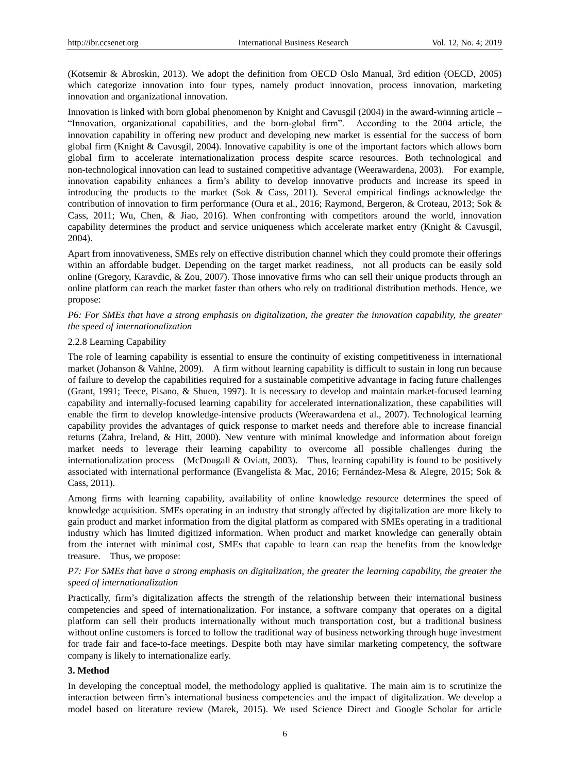(Kotsemir & Abroskin, 2013). We adopt the definition from OECD Oslo Manual, 3rd edition (OECD, 2005) which categorize innovation into four types, namely product innovation, process innovation, marketing innovation and organizational innovation.

Innovation is linked with born global phenomenon by Knight and Cavusgil (2004) in the award-winning article – ―Innovation, organizational capabilities, and the born-global firm‖. According to the 2004 article, the innovation capability in offering new product and developing new market is essential for the success of born global firm (Knight & Cavusgil, 2004). Innovative capability is one of the important factors which allows born global firm to accelerate internationalization process despite scarce resources. Both technological and non-technological innovation can lead to sustained competitive advantage (Weerawardena, 2003). For example, innovation capability enhances a firm's ability to develop innovative products and increase its speed in introducing the products to the market (Sok & Cass, 2011). Several empirical findings acknowledge the contribution of innovation to firm performance (Oura et al., 2016; Raymond, Bergeron, & Croteau, 2013; Sok & Cass, 2011; Wu, Chen, & Jiao, 2016). When confronting with competitors around the world, innovation capability determines the product and service uniqueness which accelerate market entry (Knight & Cavusgil, 2004).

Apart from innovativeness, SMEs rely on effective distribution channel which they could promote their offerings within an affordable budget. Depending on the target market readiness, not all products can be easily sold online (Gregory, Karavdic, & Zou, 2007). Those innovative firms who can sell their unique products through an online platform can reach the market faster than others who rely on traditional distribution methods. Hence, we propose:

# *P6: For SMEs that have a strong emphasis on digitalization, the greater the innovation capability, the greater the speed of internationalization*

#### 2.2.8 Learning Capability

The role of learning capability is essential to ensure the continuity of existing competitiveness in international market (Johanson & Vahlne, 2009). A firm without learning capability is difficult to sustain in long run because of failure to develop the capabilities required for a sustainable competitive advantage in facing future challenges (Grant, 1991; Teece, Pisano, & Shuen, 1997). It is necessary to develop and maintain market-focused learning capability and internally-focused learning capability for accelerated internationalization, these capabilities will enable the firm to develop knowledge-intensive products (Weerawardena et al., 2007). Technological learning capability provides the advantages of quick response to market needs and therefore able to increase financial returns (Zahra, Ireland, & Hitt, 2000). New venture with minimal knowledge and information about foreign market needs to leverage their learning capability to overcome all possible challenges during the internationalization process (McDougall & Oviatt, 2003). Thus, learning capability is found to be positively associated with international performance (Evangelista & Mac, 2016; Fernández-Mesa & Alegre, 2015; Sok & Cass, 2011).

Among firms with learning capability, availability of online knowledge resource determines the speed of knowledge acquisition. SMEs operating in an industry that strongly affected by digitalization are more likely to gain product and market information from the digital platform as compared with SMEs operating in a traditional industry which has limited digitized information. When product and market knowledge can generally obtain from the internet with minimal cost, SMEs that capable to learn can reap the benefits from the knowledge treasure. Thus, we propose:

# *P7: For SMEs that have a strong emphasis on digitalization, the greater the learning capability, the greater the speed of internationalization*

Practically, firm's digitalization affects the strength of the relationship between their international business competencies and speed of internationalization. For instance, a software company that operates on a digital platform can sell their products internationally without much transportation cost, but a traditional business without online customers is forced to follow the traditional way of business networking through huge investment for trade fair and face-to-face meetings. Despite both may have similar marketing competency, the software company is likely to internationalize early.

#### **3. Method**

In developing the conceptual model, the methodology applied is qualitative. The main aim is to scrutinize the interaction between firm's international business competencies and the impact of digitalization. We develop a model based on literature review (Marek, 2015). We used Science Direct and Google Scholar for article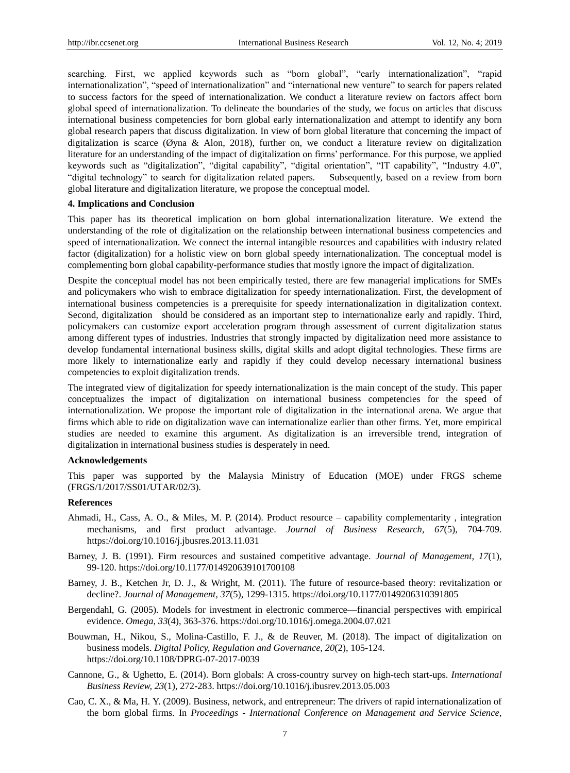searching. First, we applied keywords such as "born global", "early internationalization", "rapid internationalization", "speed of internationalization" and "international new venture" to search for papers related to success factors for the speed of internationalization. We conduct a literature review on factors affect born global speed of internationalization. To delineate the boundaries of the study, we focus on articles that discuss international business competencies for born global early internationalization and attempt to identify any born global research papers that discuss digitalization. In view of born global literature that concerning the impact of digitalization is scarce (Øyna & Alon, 2018), further on, we conduct a literature review on digitalization literature for an understanding of the impact of digitalization on firms' performance. For this purpose, we applied keywords such as "digitalization", "digital capability", "digital orientation", "IT capability", "Industry 4.0", "digital technology" to search for digitalization related papers. Subsequently, based on a review from born global literature and digitalization literature, we propose the conceptual model.

#### **4. Implications and Conclusion**

This paper has its theoretical implication on born global internationalization literature. We extend the understanding of the role of digitalization on the relationship between international business competencies and speed of internationalization. We connect the internal intangible resources and capabilities with industry related factor (digitalization) for a holistic view on born global speedy internationalization. The conceptual model is complementing born global capability-performance studies that mostly ignore the impact of digitalization.

Despite the conceptual model has not been empirically tested, there are few managerial implications for SMEs and policymakers who wish to embrace digitalization for speedy internationalization. First, the development of international business competencies is a prerequisite for speedy internationalization in digitalization context. Second, digitalization should be considered as an important step to internationalize early and rapidly. Third, policymakers can customize export acceleration program through assessment of current digitalization status among different types of industries. Industries that strongly impacted by digitalization need more assistance to develop fundamental international business skills, digital skills and adopt digital technologies. These firms are more likely to internationalize early and rapidly if they could develop necessary international business competencies to exploit digitalization trends.

The integrated view of digitalization for speedy internationalization is the main concept of the study. This paper conceptualizes the impact of digitalization on international business competencies for the speed of internationalization. We propose the important role of digitalization in the international arena. We argue that firms which able to ride on digitalization wave can internationalize earlier than other firms. Yet, more empirical studies are needed to examine this argument. As digitalization is an irreversible trend, integration of digitalization in international business studies is desperately in need.

#### **Acknowledgements**

This paper was supported by the Malaysia Ministry of Education (MOE) under FRGS scheme (FRGS/1/2017/SS01/UTAR/02/3).

#### **References**

- Ahmadi, H., Cass, A. O., & Miles, M. P. (2014). Product resource capability complementarity , integration mechanisms, and first product advantage. *Journal of Business Research*, *67*(5), 704-709. https://doi.org/10.1016/j.jbusres.2013.11.031
- Barney, J. B. (1991). Firm resources and sustained competitive advantage. *Journal of Management*, *17*(1), 99-120. https://doi.org/10.1177/014920639101700108
- Barney, J. B., Ketchen Jr, D. J., & Wright, M. (2011). The future of resource-based theory: revitalization or decline?. *Journal of Management, 37*(5), 1299-1315. https://doi.org/10.1177/0149206310391805
- Bergendahl, G. (2005). Models for investment in electronic commerce—financial perspectives with empirical evidence. *Omega, 33*(4), 363-376. https://doi.org/10.1016/j.omega.2004.07.021
- Bouwman, H., Nikou, S., Molina-Castillo, F. J., & de Reuver, M. (2018). The impact of digitalization on business models. *Digital Policy, Regulation and Governance, 20*(2), 105-124. https://doi.org/10.1108/DPRG-07-2017-0039
- Cannone, G., & Ughetto, E. (2014). Born globals: A cross-country survey on high-tech start-ups. *International Business Review, 23*(1), 272-283. https://doi.org/10.1016/j.ibusrev.2013.05.003
- Cao, C. X., & Ma, H. Y. (2009). Business, network, and entrepreneur: The drivers of rapid internationalization of the born global firms. In *Proceedings - International Conference on Management and Service Science,*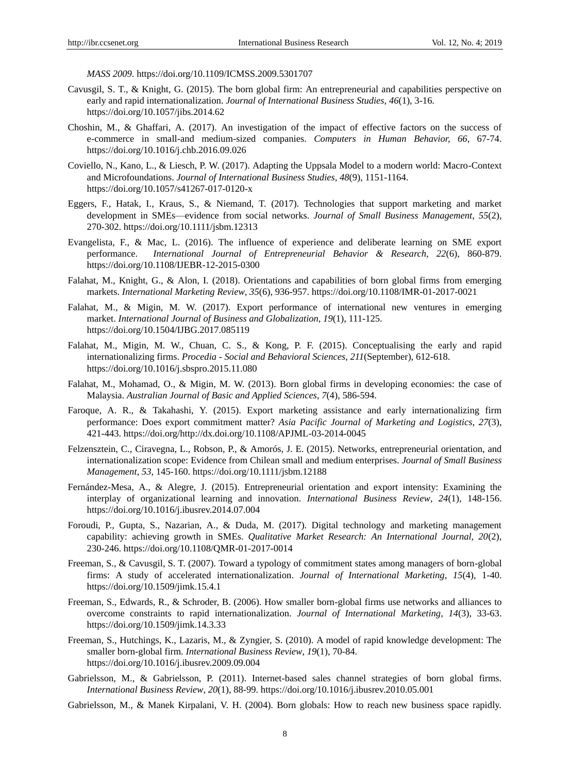*MASS 2009*. https://doi.org/10.1109/ICMSS.2009.5301707

- Cavusgil, S. T., & Knight, G. (2015). The born global firm: An entrepreneurial and capabilities perspective on early and rapid internationalization. *Journal of International Business Studies*, *46*(1), 3-16. https://doi.org/10.1057/jibs.2014.62
- Choshin, M., & Ghaffari, A. (2017). An investigation of the impact of effective factors on the success of e-commerce in small-and medium-sized companies. *Computers in Human Behavior, 66*, 67-74. https://doi.org/10.1016/j.chb.2016.09.026
- Coviello, N., Kano, L., & Liesch, P. W. (2017). Adapting the Uppsala Model to a modern world: Macro-Context and Microfoundations. *Journal of International Business Studies, 48*(9), 1151-1164. https://doi.org/10.1057/s41267-017-0120-x
- Eggers, F., Hatak, I., Kraus, S., & Niemand, T. (2017). Technologies that support marketing and market development in SMEs—evidence from social networks. *Journal of Small Business Management*, *55*(2), 270-302. https://doi.org/10.1111/jsbm.12313
- Evangelista, F., & Mac, L. (2016). The influence of experience and deliberate learning on SME export performance. *International Journal of Entrepreneurial Behavior & Research, 22*(6), 860-879. https://doi.org/10.1108/IJEBR-12-2015-0300
- Falahat, M., Knight, G., & Alon, I. (2018). Orientations and capabilities of born global firms from emerging markets. *International Marketing Review*, *35*(6), 936-957. https://doi.org/10.1108/IMR-01-2017-0021
- Falahat, M., & Migin, M. W. (2017). Export performance of international new ventures in emerging market. *International Journal of Business and Globalization*, *19*(1), 111-125. https://doi.org/10.1504/IJBG.2017.085119
- Falahat, M., Migin, M. W., Chuan, C. S., & Kong, P. F. (2015). Conceptualising the early and rapid internationalizing firms. *Procedia - Social and Behavioral Sciences*, *211*(September), 612-618. https://doi.org/10.1016/j.sbspro.2015.11.080
- Falahat, M., Mohamad, O., & Migin, M. W. (2013). Born global firms in developing economies: the case of Malaysia. *Australian Journal of Basic and Applied Sciences*, *7*(4), 586-594.
- Faroque, A. R., & Takahashi, Y. (2015). Export marketing assistance and early internationalizing firm performance: Does export commitment matter? *Asia Pacific Journal of Marketing and Logistics*, *27*(3), 421-443. https://doi.org/http://dx.doi.org/10.1108/APJML-03-2014-0045
- Felzensztein, C., Ciravegna, L., Robson, P., & Amorós, J. E. (2015). Networks, entrepreneurial orientation, and internationalization scope: Evidence from Chilean small and medium enterprises. *Journal of Small Business Management*, *53*, 145-160. https://doi.org/10.1111/jsbm.12188
- Fernández-Mesa, A., & Alegre, J. (2015). Entrepreneurial orientation and export intensity: Examining the interplay of organizational learning and innovation. *International Business Review*, *24*(1), 148-156. https://doi.org/10.1016/j.ibusrev.2014.07.004
- Foroudi, P., Gupta, S., Nazarian, A., & Duda, M. (2017). Digital technology and marketing management capability: achieving growth in SMEs. *Qualitative Market Research: An International Journal, 20*(2), 230-246. https://doi.org/10.1108/QMR-01-2017-0014
- Freeman, S., & Cavusgil, S. T. (2007). Toward a typology of commitment states among managers of born-global firms: A study of accelerated internationalization. *Journal of International Marketing*, *15*(4), 1-40. https://doi.org/10.1509/jimk.15.4.1
- Freeman, S., Edwards, R., & Schroder, B. (2006). How smaller born-global firms use networks and alliances to overcome constraints to rapid internationalization. *Journal of International Marketing*, *14*(3), 33-63. https://doi.org/10.1509/jimk.14.3.33
- Freeman, S., Hutchings, K., Lazaris, M., & Zyngier, S. (2010). A model of rapid knowledge development: The smaller born-global firm. *International Business Review*, *19*(1), 70-84. https://doi.org/10.1016/j.ibusrev.2009.09.004
- Gabrielsson, M., & Gabrielsson, P. (2011). Internet-based sales channel strategies of born global firms. *International Business Review*, *20*(1), 88-99. https://doi.org/10.1016/j.ibusrev.2010.05.001
- Gabrielsson, M., & Manek Kirpalani, V. H. (2004). Born globals: How to reach new business space rapidly.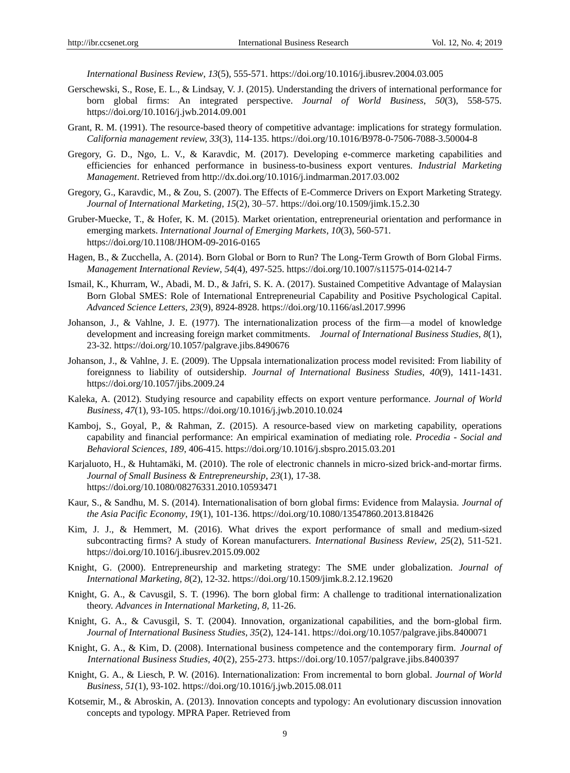*International Business Review*, *13*(5), 555-571. https://doi.org/10.1016/j.ibusrev.2004.03.005

- Gerschewski, S., Rose, E. L., & Lindsay, V. J. (2015). Understanding the drivers of international performance for born global firms: An integrated perspective. *Journal of World Business*, *50*(3), 558-575. https://doi.org/10.1016/j.jwb.2014.09.001
- Grant, R. M. (1991). The resource-based theory of competitive advantage: implications for strategy formulation. *California management review, 33*(3), 114-135. https://doi.org/10.1016/B978-0-7506-7088-3.50004-8
- Gregory, G. D., Ngo, L. V., & Karavdic, M. (2017). Developing e-commerce marketing capabilities and efficiencies for enhanced performance in business-to-business export ventures. *Industrial Marketing Management*. Retrieved from http://dx.doi.org/10.1016/j.indmarman.2017.03.002
- Gregory, G., Karavdic, M., & Zou, S. (2007). The Effects of E-Commerce Drivers on Export Marketing Strategy. *Journal of International Marketing*, *15*(2), 30–57. https://doi.org/10.1509/jimk.15.2.30
- Gruber-Muecke, T., & Hofer, K. M. (2015). Market orientation, entrepreneurial orientation and performance in emerging markets. *International Journal of Emerging Markets*, *10*(3), 560-571. https://doi.org/10.1108/JHOM-09-2016-0165
- Hagen, B., & Zucchella, A. (2014). Born Global or Born to Run? The Long-Term Growth of Born Global Firms. *Management International Review*, *54*(4), 497-525. https://doi.org/10.1007/s11575-014-0214-7
- Ismail, K., Khurram, W., Abadi, M. D., & Jafri, S. K. A. (2017). Sustained Competitive Advantage of Malaysian Born Global SMES: Role of International Entrepreneurial Capability and Positive Psychological Capital. *Advanced Science Letters*, *23*(9), 8924-8928. https://doi.org/10.1166/asl.2017.9996
- Johanson, J., & Vahlne, J. E. (1977). The internationalization process of the firm—a model of knowledge development and increasing foreign market commitments. *Journal of International Business Studies*, *8*(1), 23-32. https://doi.org/10.1057/palgrave.jibs.8490676
- Johanson, J., & Vahlne, J. E. (2009). The Uppsala internationalization process model revisited: From liability of foreignness to liability of outsidership. *Journal of International Business Studies*, *40*(9), 1411-1431. https://doi.org/10.1057/jibs.2009.24
- Kaleka, A. (2012). Studying resource and capability effects on export venture performance. *Journal of World Business, 47*(1), 93-105. https://doi.org/10.1016/j.jwb.2010.10.024
- Kamboj, S., Goyal, P., & Rahman, Z. (2015). A resource-based view on marketing capability, operations capability and financial performance: An empirical examination of mediating role. *Procedia - Social and Behavioral Sciences*, *189*, 406-415. https://doi.org/10.1016/j.sbspro.2015.03.201
- Karjaluoto, H., & Huhtamäki, M. (2010). The role of electronic channels in micro-sized brick-and-mortar firms. *Journal of Small Business & Entrepreneurship*, *23*(1), 17-38. https://doi.org/10.1080/08276331.2010.10593471
- Kaur, S., & Sandhu, M. S. (2014). Internationalisation of born global firms: Evidence from Malaysia. *Journal of the Asia Pacific Economy*, *19*(1), 101-136. https://doi.org/10.1080/13547860.2013.818426
- Kim, J. J., & Hemmert, M. (2016). What drives the export performance of small and medium-sized subcontracting firms? A study of Korean manufacturers. *International Business Review*, *25*(2), 511-521. https://doi.org/10.1016/j.ibusrev.2015.09.002
- Knight, G. (2000). Entrepreneurship and marketing strategy: The SME under globalization. *Journal of International Marketing, 8*(2), 12-32. https://doi.org/10.1509/jimk.8.2.12.19620
- Knight, G. A., & Cavusgil, S. T. (1996). The born global firm: A challenge to traditional internationalization theory. *Advances in International Marketing, 8*, 11-26.
- Knight, G. A., & Cavusgil, S. T. (2004). Innovation, organizational capabilities, and the born-global firm. *Journal of International Business Studies*, *35*(2), 124-141. https://doi.org/10.1057/palgrave.jibs.8400071
- Knight, G. A., & Kim, D. (2008). International business competence and the contemporary firm. *Journal of International Business Studies, 40*(2), 255-273. https://doi.org/10.1057/palgrave.jibs.8400397
- Knight, G. A., & Liesch, P. W. (2016). Internationalization: From incremental to born global. *Journal of World Business*, *51*(1), 93-102. https://doi.org/10.1016/j.jwb.2015.08.011
- Kotsemir, M., & Abroskin, A. (2013). Innovation concepts and typology: An evolutionary discussion innovation concepts and typology. MPRA Paper. Retrieved from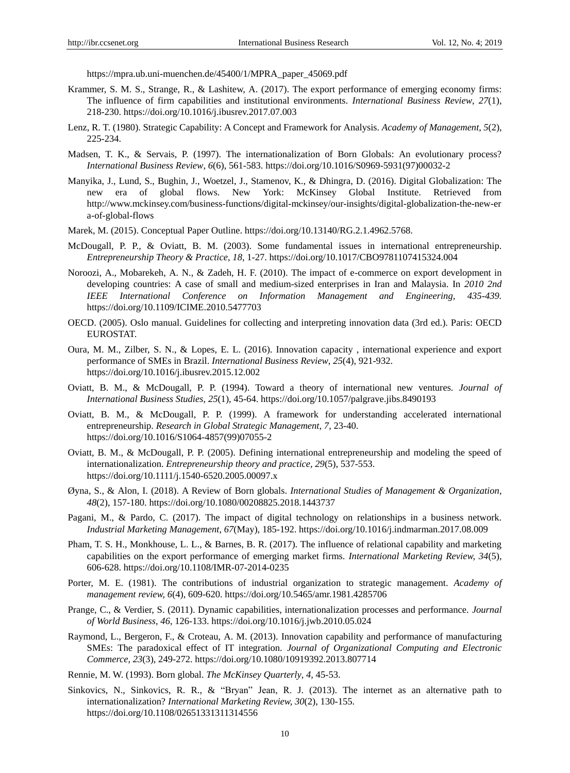https://mpra.ub.uni-muenchen.de/45400/1/MPRA\_paper\_45069.pdf

- Krammer, S. M. S., Strange, R., & Lashitew, A. (2017). The export performance of emerging economy firms: The influence of firm capabilities and institutional environments. *International Business Review*, *27*(1), 218-230. https://doi.org/10.1016/j.ibusrev.2017.07.003
- Lenz, R. T. (1980). Strategic Capability: A Concept and Framework for Analysis. *Academy of Management*, *5*(2), 225-234.
- Madsen, T. K., & Servais, P. (1997). The internationalization of Born Globals: An evolutionary process? *International Business Review*, *6*(6), 561-583. https://doi.org/10.1016/S0969-5931(97)00032-2
- Manyika, J., Lund, S., Bughin, J., Woetzel, J., Stamenov, K., & Dhingra, D. (2016). Digital Globalization: The new era of global flows. New York: McKinsey Global Institute. Retrieved from http://www.mckinsey.com/business-functions/digital-mckinsey/our-insights/digital-globalization-the-new-er a-of-global-flows
- Marek, M. (2015). Conceptual Paper Outline. https://doi.org/10.13140/RG.2.1.4962.5768.
- McDougall, P. P., & Oviatt, B. M. (2003). Some fundamental issues in international entrepreneurship. *Entrepreneurship Theory & Practice*, *18*, 1-27. https://doi.org/10.1017/CBO9781107415324.004
- Noroozi, A., Mobarekeh, A. N., & Zadeh, H. F. (2010). The impact of e-commerce on export development in developing countries: A case of small and medium-sized enterprises in Iran and Malaysia. In *2010 2nd IEEE International Conference on Information Management and Engineering, 435-439.*  https://doi.org/10.1109/ICIME.2010.5477703
- OECD. (2005). Oslo manual. Guidelines for collecting and interpreting innovation data (3rd ed.). Paris: OECD EUROSTAT.
- Oura, M. M., Zilber, S. N., & Lopes, E. L. (2016). Innovation capacity , international experience and export performance of SMEs in Brazil. *International Business Review*, *25*(4), 921-932. https://doi.org/10.1016/j.ibusrev.2015.12.002
- Oviatt, B. M., & McDougall, P. P. (1994). Toward a theory of international new ventures. *Journal of International Business Studies*, *25*(1), 45-64. https://doi.org/10.1057/palgrave.jibs.8490193
- Oviatt, B. M., & McDougall, P. P. (1999). A framework for understanding accelerated international entrepreneurship. *Research in Global Strategic Management*, *7*, 23-40. https://doi.org/10.1016/S1064-4857(99)07055-2
- Oviatt, B. M., & McDougall, P. P. (2005). Defining international entrepreneurship and modeling the speed of internationalization. *Entrepreneurship theory and practice, 29*(5), 537-553. https://doi.org/10.1111/j.1540-6520.2005.00097.x
- Øyna, S., & Alon, I. (2018). A Review of Born globals. *International Studies of Management & Organization*, *48*(2), 157-180. https://doi.org/10.1080/00208825.2018.1443737
- Pagani, M., & Pardo, C. (2017). The impact of digital technology on relationships in a business network. *Industrial Marketing Management*, *67*(May), 185-192. https://doi.org/10.1016/j.indmarman.2017.08.009
- Pham, T. S. H., Monkhouse, L. L., & Barnes, B. R. (2017). The influence of relational capability and marketing capabilities on the export performance of emerging market firms. *International Marketing Review, 34*(5), 606-628. https://doi.org/10.1108/IMR-07-2014-0235
- Porter, M. E. (1981). The contributions of industrial organization to strategic management. *Academy of management review, 6*(4), 609-620. https://doi.org/10.5465/amr.1981.4285706
- Prange, C., & Verdier, S. (2011). Dynamic capabilities, internationalization processes and performance. *Journal of World Business*, *46*, 126-133. https://doi.org/10.1016/j.jwb.2010.05.024
- Raymond, L., Bergeron, F., & Croteau, A. M. (2013). Innovation capability and performance of manufacturing SMEs: The paradoxical effect of IT integration. *Journal of Organizational Computing and Electronic Commerce*, *23*(3), 249-272. https://doi.org/10.1080/10919392.2013.807714
- Rennie, M. W. (1993). Born global. *The McKinsey Quarterly*, *4,* 45-53.
- Sinkovics, N., Sinkovics, R. R., & "Bryan" Jean, R. J. (2013). The internet as an alternative path to internationalization? *International Marketing Review, 30*(2), 130-155. <https://doi.org/10.1108/02651331311314556>